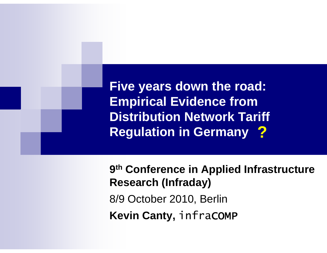**Five years down the road: Empirical Evidence from Distribution Network Tariff Regulation in Germany ?**

**9 th Conference in Applied Infrastructure Research (Infraday)**

8/9 October 2010, Berlin

**Kevin Canty,** infraCOMP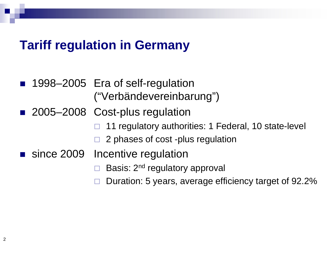#### **Tariff regulation in Germany**

- 1998–2005 Era of self-regulation ("Verbändevereinbarung")
- 2005–2008 Cost-plus regulation
	- 11 regulatory authorities: 1 Federal, 10 state-level
	- 2 phases of cost -plus regulation
- since 2009 Incentive regulation
	- Basis: 2<sup>nd</sup> regulatory approval
	- $\Box$  Duration: 5 years, average efficiency target of 92.2%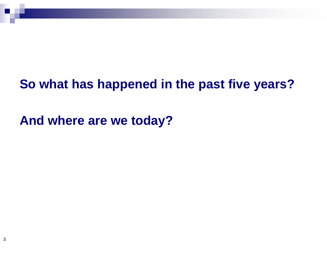## **So what has happened in the past five years?**

**And where are we today?**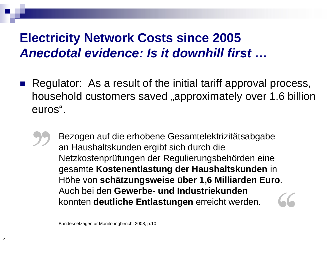# **Electricity Network Costs since 2005** *Anecdotal evidence: Is it downhill first …*

Regulator: As a result of the initial tariff approval process, household customers saved "approximately over 1.6 billion euros".

Bezogen auf die erhobene Gesamtelektrizitätsabgabe an Haushaltskunden ergibt sich durch die Netzkostenprüfungen der Regulierungsbehörden eine gesamte **Kostenentlastung der Haushaltskunden** in Höhe von **schätzungsweise über 1,6 Milliarden Euro**. Auch bei den **Gewerbe- und Industriekunden**  konnten **deutliche Entlastungen** erreicht werden.

Bundesnetzagentur Monitoringbericht 2008, p.10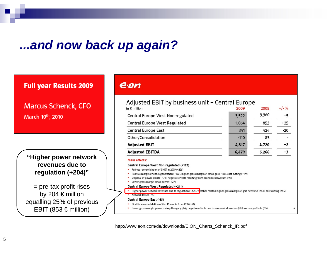#### *...and now back up again?*

#### **Full year Results 2009**

**Marcus Schenck, CFO** March 10th, 2010

**"Higher power network revenues due to regulation (+204)"**

= pre-tax profit rises by 204 € million equalling 25% of previous EBIT (853  $\epsilon$  million)

#### $e$ ·on

#### Adjusted EBIT by business unit - Central Europe

| in $\epsilon$ million                                                                                                                 | 2009   | 2008  | $+/-$ % |  |  |  |  |
|---------------------------------------------------------------------------------------------------------------------------------------|--------|-------|---------|--|--|--|--|
| Central Europe West Non-regulated                                                                                                     | 3,522  | 3,360 | +5      |  |  |  |  |
| Central Europe West Regulated                                                                                                         | 1,064  | 853   | $+25$   |  |  |  |  |
| Central Europe East                                                                                                                   | 341    | 424   | $-20$   |  |  |  |  |
| Other/Consolidation                                                                                                                   | $-110$ | 83    |         |  |  |  |  |
| <b>Adjusted EBIT</b>                                                                                                                  | 4,817  | 4,720 | +2      |  |  |  |  |
| <b>Adjusted EBITDA</b>                                                                                                                | 6,479  | 6,266 | +3      |  |  |  |  |
| Main effects:                                                                                                                         |        |       |         |  |  |  |  |
| Central Europe West Non-regulated (+162)                                                                                              |        |       |         |  |  |  |  |
| Full year consolidation of SNET in 2009 (+223)                                                                                        |        |       |         |  |  |  |  |
| Positive margin effect in generation (+120); higher gross margin in retail gas (+148); cost cutting (+174)                            |        |       |         |  |  |  |  |
| Disposal of power plants (-171); negative effects resulting from economic downturn (-97)                                              |        |       |         |  |  |  |  |
| Lower gross margin retail power (-127)                                                                                                |        |       |         |  |  |  |  |
| Central Europe West Regulated (+211)                                                                                                  |        |       |         |  |  |  |  |
| Higher power network revenues due to regulation (+204); weather related higher gross margin in gas networks (+53); cost cutting (+56) |        |       |         |  |  |  |  |
| Network losses (-15)                                                                                                                  |        |       |         |  |  |  |  |
| Central Europe East (-83)                                                                                                             |        |       |         |  |  |  |  |
| First time consolidation of Gaz Romania from PEG (+61)                                                                                |        |       |         |  |  |  |  |

Lower gross margin power mainly Hungary (-64); negative effects due to economic downturn (-15); currency effects (-15)

[http://www.eon.com/de/downloads/E.ON\\_Charts\\_Schenck\\_IR.pdf](http://www.eon.com/de/downloads/E.ON_Charts_Schenck_IR.pdf)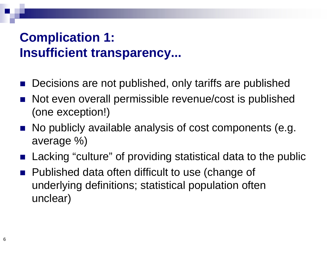# **Complication 1: Insufficient transparency...**

- Decisions are not published, only tariffs are published
- Not even overall permissible revenue/cost is published (one exception!)
- $\blacksquare$  No publicly available analysis of cost components (e.g. average %)
- Lacking "culture" of providing statistical data to the public
- Published data often difficult to use (change of underlying definitions; statistical population often unclear)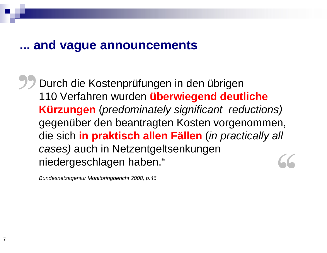#### **... and vague announcements**

Durch die Kostenprüfungen in den übrigen 110 Verfahren wurden **überwiegend deutliche Kürzungen** (*predominately significant reductions)*  gegenüber den beantragten Kosten vorgenommen, die sich **in praktisch allen Fällen** (*in practically all cases)* auch in Netzentgeltsenkungen niedergeschlagen haben."

*Bundesnetzagentur Monitoringbericht 2008, p.46*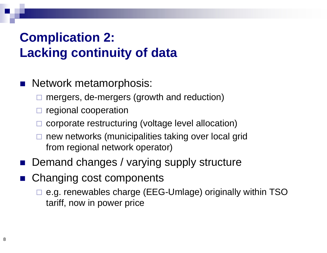# **Complication 2: Lacking continuity of data**

- **Network metamorphosis:** 
	- mergers, de-mergers (growth and reduction)
	- regional cooperation
	- corporate restructuring (voltage level allocation)
	- new networks (municipalities taking over local grid from regional network operator)
- Demand changes / varying supply structure
- Changing cost components
	- e.g. renewables charge (EEG-Umlage) originally within TSO tariff, now in power price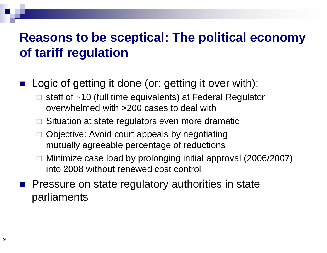## **Reasons to be sceptical: The political economy of tariff regulation**

- Logic of getting it done (or: getting it over with):
	- $\Box$  staff of ~10 (full time equivalents) at Federal Regulator overwhelmed with >200 cases to deal with
	- $\Box$  Situation at state regulators even more dramatic
	- $\Box$  Objective: Avoid court appeals by negotiating mutually agreeable percentage of reductions
	- Minimize case load by prolonging initial approval (2006/2007) into 2008 without renewed cost control
- $\blacksquare$  Pressure on state regulatory authorities in state parliaments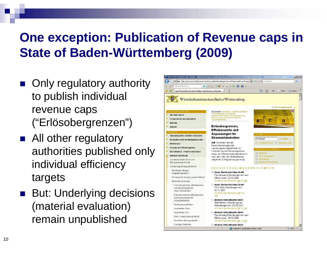# **One exception: Publication of Revenue caps in State of Baden-Württemberg (2009)**

- **n** Only regulatory authority to publish individual revenue caps ("Erlösobergrenzen")
- All other regulatory authorities published only individual efficiency targets
- **But: Underlying decisions** (material evaluation) remain unpublished

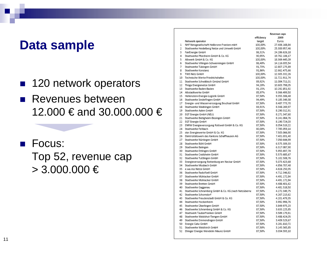#### **Data sample**

- 120 network operators
- **Revenues between** 12.000 € and 30.000.000 €
- Focus: Top 52, revenue cap  $> 3.000.000 \in$

|    |                                                      | Revenue caps<br>efficiency<br>2009 |               |
|----|------------------------------------------------------|------------------------------------|---------------|
|    | Network operator                                     | target                             | Euros         |
| 1  | NHF Netzgesellschaft Heilbronn-Franken mbH           | 100,00%                            | 27.406.168,84 |
| 2  | Stadtwerke Heidelberg Netze und Umwelt GmbH          | 100,00%                            | 25.300.957,46 |
| 3  | FairEnergie GmbH                                     | 86,31%                             | 24.286.626.18 |
| 4  | Stadtwerke Pforzheim GmbH & Co. KG                   | 90,95%                             | 19.762.106,17 |
| 5  | Albwerk GmbH & Co. KG                                | 100,00%                            | 18.369.445,09 |
| 6  | Stadtwerke Villingen-Schwenningen GmbH               | 86,40%                             | 14.116.035.54 |
| 7  | Stadtwerke Tübingen GmbH                             | 91.73%                             | 12.807.275.89 |
| 8  | Stadtwerke Konstanz                                  | 91.86%                             | 12.662.475,66 |
| 9  | TWS Netz GmbH                                        | 100,00%                            | 12.305.332,26 |
|    | 10 Technische Werke Friedrichshafen                  | 100,00%                            | 11.721.911,74 |
| 11 | Stadtwerke Schwäbisch Gmünd GmbH                     | 89.92%                             | 11.084.711.01 |
| 12 | Thüga Energienetze GmbH                              | 94,20%                             | 10.603.798,05 |
|    | 13 Stadtwerke Baden-Baden                            | 91,15%                             | 10.292.851.92 |
|    | 14 Albstadtwerke GmbH                                | 85,97%                             | 9.366.499.50  |
|    | 15 Hellenstein-Energie-Logistik GmbH                 | 87.50%                             | 9.355.306,48  |
|    | 16 Stadtwerke Sindelfingen GmbH                      | 94,49%                             | 9.185.349,38  |
|    | 17 Energie- und Wasserversorgung Bruchsal GmbH       | 87,50%                             | 8.487.773,70  |
|    | 18 Stadtwerke Waiblingen GmbH                        | 84,91%                             | 8.348.269.97  |
| 19 | Stadtwerke Aalen GmbH                                | 87,50%                             | 8.290.312,91  |
|    | 20 EGT Energie GmbH (NEU)                            | 87,50%                             | 8.271.347,60  |
|    | 21 Stadtwerke Bietigheim-Bissingen GmbH              | 87,50%                             | 8.241.084.76  |
|    | 22 EGT Energie GmbH                                  | 87,50%                             | 8.190.724,03  |
|    | 23 ENRW Energieversorgung Rottweil GmbH & Co. KG     | 87,50%                             | 8.054.519,22  |
|    | 24 Stadtwerke Fellbach                               | 80,00%                             | 7.785.059,14  |
| 25 | star.Energiewerke GmbH & Co. KG                      | 87,50%                             | 7.505.066.90  |
|    | 26 Elektrizitätswerk des Kantons Schaffhausen AG     | 87,50%                             | 7.401.031,40  |
|    | 27 Stadtwerke Nürtingen GmbH                         | 87,50%                             | 7.050.644,99  |
|    | 28 Stadtwerke Bühl GmbH                              | 87.50%                             | 6.575.309.33  |
|    | 29 Stadtwerke Balingen                               | 87,50%                             | 6.317.087,90  |
|    | 30 Stadtwerke Ettlingen GmbH                         | 87,50%                             | 5.955.697,78  |
| 31 | Stadtwerke Crailsheim GmbH                           | 87.50%                             | 5.573.685.67  |
|    | 32 Stadtwerke Tuttlingen GmbH                        | 87,50%                             | 5.102.508,76  |
|    | 33 Energieversorgung Rottenburg am Neckar GmbH       | 87,50%                             | 5.073.423.68  |
|    | 34 Stadtwerke Mosbach GmbH                           | 87.50%                             | 4.856.707.48  |
| 35 | e.wa.riss Netze GmbH                                 | 87,50%                             | 4.828.250,35  |
|    | 36 Stadtwerke Radolfzell GmbH                        | 87,50%                             | 4.712.346.82  |
| 37 | Stadtwerke Mühlacker GmbH                            | 87.50%                             | 4.491.172,84  |
|    | 38 Stadtwerke Mühlacker GmbH                         | 87.50%                             | 4.491.172.84  |
| 39 | Stadtwerke Bretten GmbH                              | 87,50%                             | 4.488.401,62  |
|    | 40 Stadtwerke Gaggenau                               | 87,50%                             | 4.481.518,50  |
| 41 | Stadtwerke Schramberg GmbH & Co. KG (nach Netzüberna | 87,50%                             | 4.272.349.75  |
| 42 | Stadtwerke Schorndorf                                | 87,50%                             | 4.267.213,62  |
| 43 | Stadtwerke Freudenstadt GmbH & Co. KG                | 87.50%                             | 4.201.479.35  |
| 44 | Stadtwerke Hockenheim                                | 87,50%                             | 3.992.996,76  |
| 45 | Stadtwerke Überlingen GmbH                           | 87,50%                             | 3.849.975.23  |
|    | 46 Stadtwerke Schramberg GmbH & Co. KG               | 87,50%                             | 3.633.225.85  |
| 47 | Stadtwerk Tauberfranken GmbH                         | 87,50%                             | 3.589.179.81  |
| 48 | Stadtwerke Waldshut-Tiengen GmbH                     | 87,50%                             | 3.488.424.05  |
| 49 | Stadtwerke Emmendingen GmbH                          | 87,50%                             | 3.409.529,67  |
|    | 50 Energie Calw GmbH                                 | 87,50%                             | 3.281.810.72  |
|    |                                                      |                                    |               |
|    | 51 Stadtwerke Waldkirch GmbH                         | 87,50%                             | 3.145.565,85  |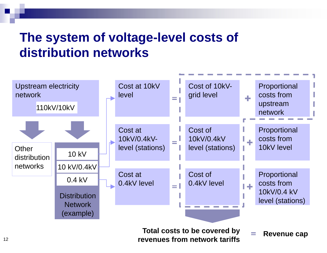## **The system of voltage-level costs of distribution networks**

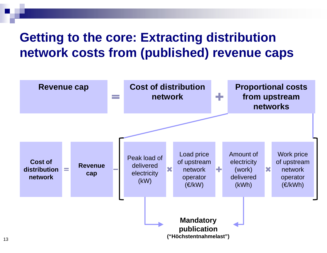## **Getting to the core: Extracting distribution network costs from (published) revenue caps**

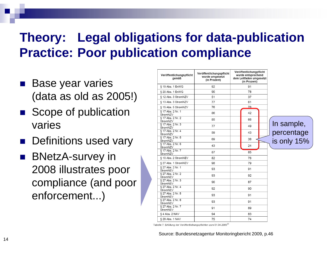# **Theory: Legal obligations for data-publication Practice: Poor publication compliance**

- **Base year varies** (data as old as 2005!)
- Scope of publication varies
- **n** Definitions used vary
- BNetzA-survey in 2008 illustrates poor compliance (and poor enforcement...)

|  | Veröffentlichungspflicht<br>gemäß | Veröffentlichungspflicht<br>wurde umgesetzt<br>(in Prozent) | Veröffentlichungpflicht<br>wurde entsprechend<br>dem Leitfaden umgesetzt<br>(in Prozent) |             |
|--|-----------------------------------|-------------------------------------------------------------|------------------------------------------------------------------------------------------|-------------|
|  | § 19 Abs. 1 EnWG                  | 92                                                          | 91                                                                                       |             |
|  | § 20 Abs. 1 EnWG                  | 90                                                          | 78                                                                                       |             |
|  | § 12 Abs. 3 StromNZV              | 51                                                          | 37                                                                                       |             |
|  | § 13 Abs. 3 StromNZV              | 77                                                          | 61                                                                                       |             |
|  | § 15 Abs. 5 StromNZV              | 76                                                          | 76                                                                                       |             |
|  | § 17 Abs. 2 Nr. 1<br>StromNZV     | 86                                                          | 42                                                                                       |             |
|  | § 17 Abs. 2 Nr. 2<br>StromNZV     | 85                                                          | 66                                                                                       |             |
|  | § 17 Abs. 2 Nr. 3<br>StromNZV     | 77                                                          | 49                                                                                       | In sample,  |
|  | § 17 Abs. 2 Nr. 4<br>StromNZV     | 59                                                          | 43                                                                                       | percentage  |
|  | § 17 Abs. 2 Nr. 5<br>StromNZV     | 69                                                          | 38                                                                                       | is only 15% |
|  | § 17 Abs. 2 Nr. 6<br>StromNZV     | 43                                                          | 24                                                                                       |             |
|  | § 17 Abs. 2 Nr. 7<br>StromNZV     | 87                                                          | 85                                                                                       |             |
|  | § 10 Abs. 2 StromNEV              | 82                                                          | 76                                                                                       |             |
|  | § 27 Abs. 1 StromNEV              | 98                                                          | 79                                                                                       |             |
|  | § 27 Abs. 2 Nr. 1<br>StromNEV     | 93                                                          | 91                                                                                       |             |
|  | § 27 Abs. 2 Nr. 2<br>StromNEV     | 93                                                          | 92                                                                                       |             |
|  | § 27 Abs. 2 Nr. 3<br>StromNEV     | 90                                                          | 87                                                                                       |             |
|  | § 27 Abs. 2 Nr. 4<br>StromNEV     | 92                                                          | 90                                                                                       |             |
|  | § 27 Abs. 2 Nr. 5<br>StromNEV     | 93                                                          | 91                                                                                       |             |
|  | § 27 Abs. 2 Nr. 6<br>StromNEV     | 93                                                          | 91                                                                                       |             |
|  | § 27 Abs. 2 Nr. 7<br>StromNEV     | 91                                                          | 89                                                                                       |             |
|  | § 4 Abs. 2 NAV                    | 94                                                          | 83                                                                                       |             |
|  | § 29 Abs. 1 NAV                   | 75                                                          | 74                                                                                       |             |

Tabelle 7: Erfüllung der Veröffentlichungspflichten zum 01.04.2009<sup>33</sup>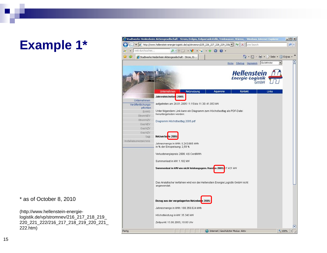## **Example 1\***

\* as of October 8, 2010

[\(http://www.hellenstein-energie](http://www.hellenstein-energie-)logistik.de/vp/stromnev/216\_217\_218\_219\_ 220\_221\_222/216\_217\_218\_219\_220\_221\_ 222.htm)

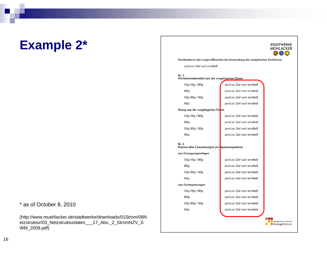#### **Example 2\***

#### \* as of October 8, 2010

[\(http://www.muehlacker.de/stadtwerke/downloads/01Strom/08N](http://www.muehlacker.de/stadtwerke/downloads/01Strom/08N) etzstruktur/03\_Netzstrukturdaten\_\_\_17\_Abs.\_2\_StromNZV\_S WM\_2009.pdf)

#### **STADTWERKE** MÜHLACKER  $\odot$ ao Restlastkurve der Lastprofilkunden bei Anwendung des analytischen Verfahrens {wird zur Zeit noch ermittelt} Nr. 5 Höchstentnahmelast aus der vorgelagerten Ebene (wird zur Zeit noch ermittelt) USp HSp / MSp MSp (wird zur Zeit noch ermittelt) USp MSp / NSp {wird zur Zeit noch ermittelt} **NSp** {wird zur Zeit noch ermittelt} Bezug aus der vorgelagerten Ebene USp HSp / MSp {wird zur Zeit noch ermittelt} MSp {wird zur Zeit noch ermittelt} USp MSp / NSp {wird zur Zeit noch ermittelt} **NSp** {wird zur Zeit noch ermittelt} Nr. 6 Summe aller Einspeisungen pro Spannungsebene aus Erzeugungsanlagen USp HSp / MSp {wird zur Zeit noch ermittelt} MSp {wird zur Zeit noch ermittelt} USp MSp / NSp {wird zur Zeit noch ermittelt} **NSp** {wird zur Zeit noch ermittelt} aus Rückspeisungen USp HSp / MSp {wird zur Zeit noch ermittelt} MSp {wird zur Zeit noch ermittelt} USp MSp / NSp {wird zur Zeit noch ermittelt} NSp {wird zur Zeit noch ermittelt} Mitglied im Verbund **ExercisePartner**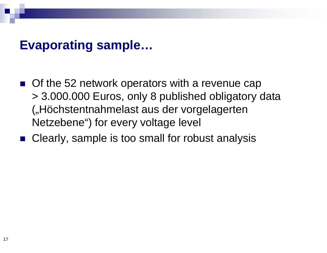#### **Evaporating sample…**

- $\blacksquare$  Of the 52 network operators with a revenue cap > 3.000.000 Euros, only 8 published obligatory data ("Höchstentnahmelast aus der vorgelagerten Netzebene") for every voltage level
- Clearly, sample is too small for robust analysis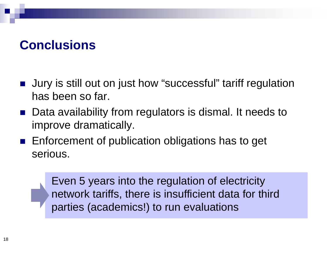#### **Conclusions**

- Jury is still out on just how "successful" tariff regulation has been so far.
- Data availability from regulators is dismal. It needs to improve dramatically.
- $\blacksquare$  Enforcement of publication obligations has to get serious.

Even 5 years into the regulation of electricity network tariffs, there is insufficient data for third parties (academics!) to run evaluations